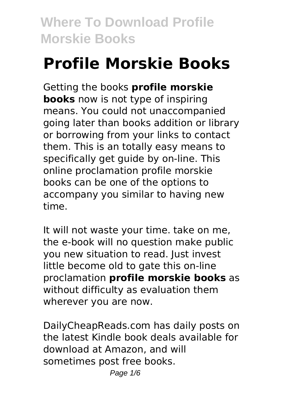# **Profile Morskie Books**

Getting the books **profile morskie books** now is not type of inspiring means. You could not unaccompanied going later than books addition or library or borrowing from your links to contact them. This is an totally easy means to specifically get guide by on-line. This online proclamation profile morskie books can be one of the options to accompany you similar to having new time.

It will not waste your time. take on me, the e-book will no question make public you new situation to read. Just invest little become old to gate this on-line proclamation **profile morskie books** as without difficulty as evaluation them wherever you are now.

DailyCheapReads.com has daily posts on the latest Kindle book deals available for download at Amazon, and will sometimes post free books.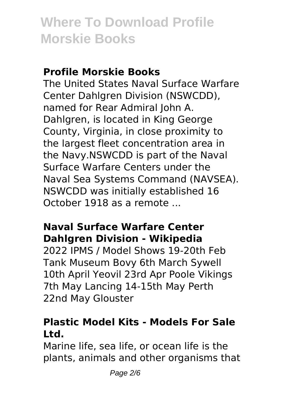#### **Profile Morskie Books**

The United States Naval Surface Warfare Center Dahlgren Division (NSWCDD), named for Rear Admiral John A. Dahlgren, is located in King George County, Virginia, in close proximity to the largest fleet concentration area in the Navy.NSWCDD is part of the Naval Surface Warfare Centers under the Naval Sea Systems Command (NAVSEA). NSWCDD was initially established 16 October 1918 as a remote ...

#### **Naval Surface Warfare Center Dahlgren Division - Wikipedia**

2022 IPMS / Model Shows 19-20th Feb Tank Museum Bovy 6th March Sywell 10th April Yeovil 23rd Apr Poole Vikings 7th May Lancing 14-15th May Perth 22nd May Glouster

#### **Plastic Model Kits - Models For Sale Ltd.**

Marine life, sea life, or ocean life is the plants, animals and other organisms that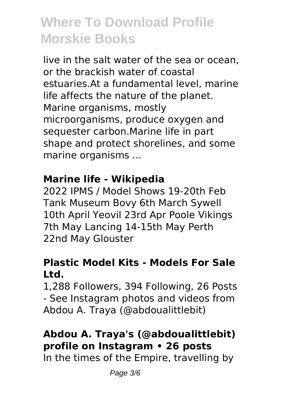live in the salt water of the sea or ocean, or the brackish water of coastal estuaries.At a fundamental level, marine life affects the nature of the planet. Marine organisms, mostly microorganisms, produce oxygen and sequester carbon.Marine life in part shape and protect shorelines, and some marine organisms ...

#### **Marine life - Wikipedia**

2022 IPMS / Model Shows 19-20th Feb Tank Museum Bovy 6th March Sywell 10th April Yeovil 23rd Apr Poole Vikings 7th May Lancing 14-15th May Perth 22nd May Glouster

#### **Plastic Model Kits - Models For Sale Ltd.**

1,288 Followers, 394 Following, 26 Posts - See Instagram photos and videos from Abdou A. Traya (@abdoualittlebit)

### **Abdou A. Traya's (@abdoualittlebit) profile on Instagram • 26 posts**

In the times of the Empire, travelling by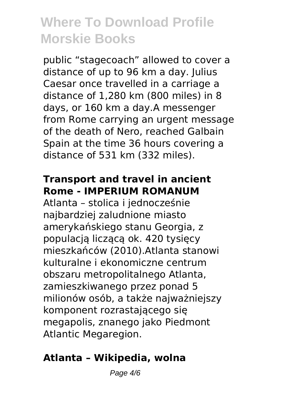public "stagecoach" allowed to cover a distance of up to 96 km a day. Julius Caesar once travelled in a carriage a distance of 1,280 km (800 miles) in 8 days, or 160 km a day.A messenger from Rome carrying an urgent message of the death of Nero, reached Galbain Spain at the time 36 hours covering a distance of 531 km (332 miles).

#### **Transport and travel in ancient Rome - IMPERIUM ROMANUM**

Atlanta – stolica i jednocześnie najbardziej zaludnione miasto amerykańskiego stanu Georgia, z populacją liczącą ok. 420 tysięcy mieszkańców (2010).Atlanta stanowi kulturalne i ekonomiczne centrum obszaru metropolitalnego Atlanta, zamieszkiwanego przez ponad 5 milionów osób, a także najważniejszy komponent rozrastającego się megapolis, znanego jako Piedmont Atlantic Megaregion.

#### **Atlanta – Wikipedia, wolna**

Page  $4/6$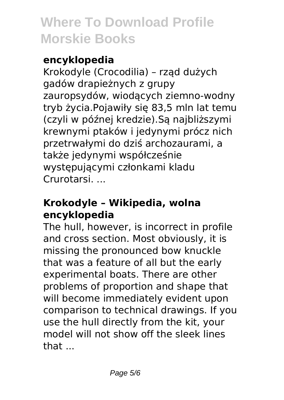#### **encyklopedia**

Krokodyle (Crocodilia) – rząd dużych gadów drapieżnych z grupy zauropsydów, wiodących ziemno-wodny tryb życia.Pojawiły się 83,5 mln lat temu (czyli w późnej kredzie).Są najbliższymi krewnymi ptaków i jedynymi prócz nich przetrwałymi do dziś archozaurami, a także jedynymi współcześnie występującymi członkami kladu Crurotarsi. ...

#### **Krokodyle – Wikipedia, wolna encyklopedia**

The hull, however, is incorrect in profile and cross section. Most obviously, it is missing the pronounced bow knuckle that was a feature of all but the early experimental boats. There are other problems of proportion and shape that will become immediately evident upon comparison to technical drawings. If you use the hull directly from the kit, your model will not show off the sleek lines that ...